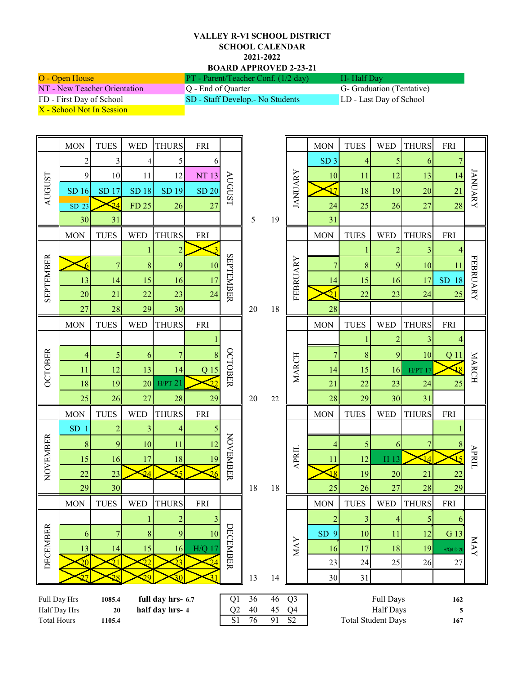## **VALLEY R-VI SCHOOL DISTRICT SCHOOL CALENDAR 2021-2022 BOARD APPROVED 2-23-21**

| O - Open House               | $PT$ - Parent/Teacher Conf. (1/2 day) | H - Half Day             |
|------------------------------|---------------------------------------|--------------------------|
| NT - New Teacher Orientation | Q - End of Quarter                    | G- Graduation (Tentative |
| FD - First Day of School     | SD - Staff Develop. - No Students     | LD - Last Day of School  |

ntion (Tentative)

X - School Not In Session

|                                                                                                                          | <b>MON</b>      | <b>TUES</b>     | <b>WED</b>      | <b>THURS</b>                     | <b>FRI</b>        |                  |                  |                           |                | <b>MON</b>                   | <b>TUES</b>    | <b>WED</b>      | <b>THURS</b> | <b>FRI</b>              |                 |  |  |
|--------------------------------------------------------------------------------------------------------------------------|-----------------|-----------------|-----------------|----------------------------------|-------------------|------------------|------------------|---------------------------|----------------|------------------------------|----------------|-----------------|--------------|-------------------------|-----------------|--|--|
| AUGUST                                                                                                                   | $\overline{c}$  | 3               | 4               | 5                                | 6                 | AUGUST           |                  |                           | <b>JANUARY</b> | SD <sub>3</sub>              | 4              | 5               | 6            | 7                       | <b>JANUARY</b>  |  |  |
|                                                                                                                          | 9               | 10              | 11              | 12                               | NT 13             |                  |                  | 19                        |                | 10                           | 11             | 12              | 13           | 14                      |                 |  |  |
|                                                                                                                          | SD 16           | SD 17           | SD 18           | SD 19                            | <b>SD 20</b>      |                  |                  |                           |                | 17                           | 18             | 19              | 20           | $\overline{21}$         |                 |  |  |
|                                                                                                                          | $SD$ 23         | $\overline{24}$ | FD 25           | 26                               | 27                |                  |                  |                           |                | 24                           | 25             | 26              | 27           | 28                      |                 |  |  |
|                                                                                                                          | 30              | 31              |                 |                                  |                   |                  | 5                |                           |                | 31                           |                |                 |              |                         |                 |  |  |
|                                                                                                                          | <b>MON</b>      | <b>TUES</b>     | <b>WED</b>      | <b>THURS</b>                     | <b>FRI</b>        |                  |                  |                           |                | <b>MON</b>                   | <b>TUES</b>    | <b>WED</b>      | <b>THURS</b> | <b>FRI</b>              |                 |  |  |
|                                                                                                                          |                 |                 |                 | $\overline{2}$                   |                   | <b>SEPTEMBER</b> |                  |                           | FEBRUARY       |                              |                | $\overline{c}$  | 3            | 4                       | <b>FEBRUARY</b> |  |  |
|                                                                                                                          |                 | 7               | 8               | 9                                | 10                |                  |                  | 18                        |                | 7                            | 8              | 9               | 10           | 11                      |                 |  |  |
| <b>SEPTEMBER</b>                                                                                                         | 13              | 14              | 15              | 16                               | 17                |                  |                  |                           |                | 14                           | 15             | 16              | 17           | SD<br>18                |                 |  |  |
|                                                                                                                          | 20              | 21              | 22              | 23                               | $\overline{24}$   |                  |                  |                           |                |                              | 22             | 23              | 24           | 25                      |                 |  |  |
|                                                                                                                          | 27              | 28              | 29              | 30                               |                   |                  | 20               |                           |                | 28                           |                |                 |              |                         |                 |  |  |
|                                                                                                                          | <b>MON</b>      | <b>TUES</b>     | <b>WED</b>      | <b>THURS</b>                     | <b>FRI</b>        |                  |                  |                           |                | <b>MON</b>                   | <b>TUES</b>    | <b>WED</b>      | <b>THURS</b> | <b>FRI</b>              |                 |  |  |
| <b>OCTOBER</b>                                                                                                           |                 |                 |                 |                                  |                   |                  |                  |                           | MARCH          |                              |                | $\overline{c}$  | 3            |                         | <b>MARCH</b>    |  |  |
|                                                                                                                          | 4               | 5               | 6               | 7                                | 8                 | <b>OCTOBER</b>   |                  |                           |                | 7                            | 8              | 9               | 10           | Q <sub>11</sub>         |                 |  |  |
|                                                                                                                          | 11              | 12              | 13              | 14                               | $\overline{Q}$ 15 |                  |                  |                           |                | 14                           | 15             | 16              | $H/PT$ 17    |                         |                 |  |  |
|                                                                                                                          | 18              | 19              | 20              | $H/PT$ 21                        | າາ                |                  |                  |                           |                | 21                           | 22             | 23              | 24           | 25                      |                 |  |  |
|                                                                                                                          | 25              | 26              | 27              | 28                               | 29                |                  | 20               | $22\,$                    |                | 28                           | 29             | 30              | 31           |                         |                 |  |  |
|                                                                                                                          | <b>MON</b>      | <b>TUES</b>     | <b>WED</b>      | <b>THURS</b>                     | <b>FRI</b>        |                  |                  |                           |                | <b>MON</b>                   | <b>TUES</b>    | <b>WED</b>      | <b>THURS</b> | <b>FRI</b>              |                 |  |  |
|                                                                                                                          | SD <sub>1</sub> | $\overline{c}$  | 3               | 4                                | 5                 | <b>NOVEMBER</b>  |                  |                           |                |                              |                |                 |              |                         |                 |  |  |
| NOVEMBER                                                                                                                 | 8               | 9               | 10              | 11                               | 12                |                  |                  |                           | <b>APRIL</b>   | 4                            | 5              | 6               | 7            | 8                       | <b>APRIL</b>    |  |  |
|                                                                                                                          | 15              | 16              | 17              | 18                               | 19                |                  |                  |                           |                | 11                           | 12             | H <sub>13</sub> | 14           | $\overline{\mathbf{5}}$ |                 |  |  |
|                                                                                                                          | 22              | 23              | $\overline{24}$ | 25                               | 26                |                  |                  |                           |                | $\overline{18}$              | 19             | 20              | 21           | 22                      |                 |  |  |
|                                                                                                                          | 29              | 30              |                 |                                  |                   |                  | 18               | 18                        |                | 25                           | 26             | 27              | 28           | 29                      |                 |  |  |
|                                                                                                                          | <b>MON</b>      | <b>TUES</b>     | <b>WED</b>      | <b>THURS</b>                     | <b>FRI</b>        |                  |                  |                           |                | <b>MON</b>                   | <b>TUES</b>    | <b>WED</b>      | <b>THURS</b> | <b>FRI</b>              |                 |  |  |
|                                                                                                                          |                 |                 | $\mathbf{1}$    | $\overline{2}$                   |                   | DECEMBER         |                  |                           | <b>MAY</b>     | $\left  \frac{2}{2} \right $ | $\overline{3}$ | 4               | 5            | $\sigma$                | <b>NAY</b>      |  |  |
| <b>DECEMBER</b>                                                                                                          | 6               | 7               | 8               | 9                                | 10                |                  |                  |                           |                | SD <sub>9</sub>              | 10             | 11              | 12           | G 13                    |                 |  |  |
|                                                                                                                          | 13              | 14              | 15              | 16                               | H/Q 17            |                  |                  |                           |                | 16                           | 17             | 18              | 19           | <b>H/Q/LD 20</b>        |                 |  |  |
|                                                                                                                          | 20 <sup>2</sup> | 21              | 22              | 23                               |                   |                  |                  |                           |                | 23                           | 24             | 25              | 26           | $27\,$                  |                 |  |  |
|                                                                                                                          |                 | ንՋ              | ΣÓ              |                                  |                   |                  | 13               | 14                        |                | 30                           | 31             |                 |              |                         |                 |  |  |
| 36<br>46                                                                                                                 |                 |                 |                 | $\overline{Q}$                   |                   |                  | <b>Full Days</b> |                           | 162            |                              |                |                 |              |                         |                 |  |  |
| full day hrs- 6.7<br>Full Day Hrs<br>1085.4<br>half day hrs- 4<br>Half Day Hrs<br>$20\,$<br><b>Total Hours</b><br>1105.4 |                 |                 | Q1<br>Q2        | $40\,$                           | 45                | Q <sub>4</sub>   |                  |                           | Half Days      |                              | 5              |                 |              |                         |                 |  |  |
|                                                                                                                          |                 |                 |                 | S1<br>S <sub>2</sub><br>76<br>91 |                   |                  |                  | <b>Total Student Days</b> |                |                              |                | 167             |              |                         |                 |  |  |